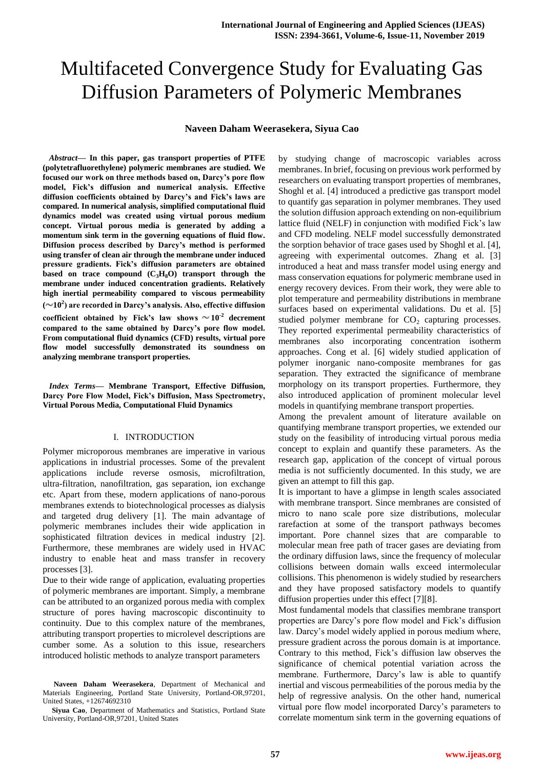# Multifaceted Convergence Study for Evaluating Gas Diffusion Parameters of Polymeric Membranes

# **Naveen Daham Weerasekera, Siyua Cao**

*Abstract***— In this paper, gas transport properties of PTFE (polytetrafluorethylene) polymeric membranes are studied. We focused our work on three methods based on, Darcy's pore flow model, Fick's diffusion and numerical analysis. Effective diffusion coefficients obtained by Darcy's and Fick's laws are compared. In numerical analysis, simplified computational fluid dynamics model was created using virtual porous medium concept. Virtual porous media is generated by adding a momentum sink term in the governing equations of fluid flow. Diffusion process described by Darcy's method is performed using transfer of clean air through the membrane under induced pressure gradients. Fick's diffusion parameters are obtained based on trace compound (C3H8O) transport through the membrane under induced concentration gradients. Relatively high inertial permeability compared to viscous permeability ( 10<sup>2</sup> ) are recorded in Darcy's analysis. Also, effective diffusion**  coefficient obtained by Fick's law shows  $\sim 10^{-2}$  decrement **compared to the same obtained by Darcy's pore flow model. From computational fluid dynamics (CFD) results, virtual pore flow model successfully demonstrated its soundness on analyzing membrane transport properties.** 

*Index Terms***— Membrane Transport, Effective Diffusion, Darcy Pore Flow Model, Fick's Diffusion, Mass Spectrometry, Virtual Porous Media, Computational Fluid Dynamics**

#### I. INTRODUCTION

Polymer microporous membranes are imperative in various applications in industrial processes. Some of the prevalent applications include reverse osmosis, microfiltration, ultra-filtration, nanofiltration, gas separation, ion exchange etc. Apart from these, modern applications of nano-porous membranes extends to biotechnological processes as dialysis and targeted drug delivery [1]. The main advantage of polymeric membranes includes their wide application in sophisticated filtration devices in medical industry [2]. Furthermore, these membranes are widely used in HVAC industry to enable heat and mass transfer in recovery processes [3].

Due to their wide range of application, evaluating properties of polymeric membranes are important. Simply, a membrane can be attributed to an organized porous media with complex structure of pores having macroscopic discontinuity to continuity. Due to this complex nature of the membranes, attributing transport properties to microlevel descriptions are cumber some. As a solution to this issue, researchers introduced holistic methods to analyze transport parameters

**Naveen Daham Weerasekera**, Department of Mechanical and Materials Engineering, Portland State University, Portland-OR,97201, United States, +12674692310

**Siyua Cao**, Department of Mathematics and Statistics, Portland State University, Portland-OR,97201, United States

by studying change of macroscopic variables across membranes. In brief, focusing on previous work performed by researchers on evaluating transport properties of membranes, Shoghl et al. [4] introduced a predictive gas transport model to quantify gas separation in polymer membranes. They used the solution diffusion approach extending on non-equilibrium lattice fluid (NELF) in conjunction with modified Fick's law and CFD modeling. NELF model successfully demonstrated the sorption behavior of trace gases used by Shoghl et al. [4], agreeing with experimental outcomes. Zhang et al. [3] introduced a heat and mass transfer model using energy and mass conservation equations for polymeric membrane used in energy recovery devices. From their work, they were able to plot temperature and permeability distributions in membrane surfaces based on experimental validations. Du et al. [5] studied polymer membrane for  $CO<sub>2</sub>$  capturing processes. They reported experimental permeability characteristics of membranes also incorporating concentration isotherm approaches. Cong et al. [6] widely studied application of polymer inorganic nano-composite membranes for gas separation. They extracted the significance of membrane morphology on its transport properties. Furthermore, they also introduced application of prominent molecular level models in quantifying membrane transport properties.

Among the prevalent amount of literature available on quantifying membrane transport properties, we extended our study on the feasibility of introducing virtual porous media concept to explain and quantify these parameters. As the research gap, application of the concept of virtual porous media is not sufficiently documented. In this study, we are given an attempt to fill this gap.

It is important to have a glimpse in length scales associated with membrane transport. Since membranes are consisted of micro to nano scale pore size distributions, molecular rarefaction at some of the transport pathways becomes important. Pore channel sizes that are comparable to molecular mean free path of tracer gases are deviating from the ordinary diffusion laws, since the frequency of molecular collisions between domain walls exceed intermolecular collisions. This phenomenon is widely studied by researchers and they have proposed satisfactory models to quantify diffusion properties under this effect [7][8].

Most fundamental models that classifies membrane transport properties are Darcy's pore flow model and Fick's diffusion law. Darcy's model widely applied in porous medium where, pressure gradient across the porous domain is at importance. Contrary to this method, Fick's diffusion law observes the significance of chemical potential variation across the membrane. Furthermore, Darcy's law is able to quantify inertial and viscous permeabilities of the porous media by the help of regressive analysis. On the other hand, numerical virtual pore flow model incorporated Darcy's parameters to correlate momentum sink term in the governing equations of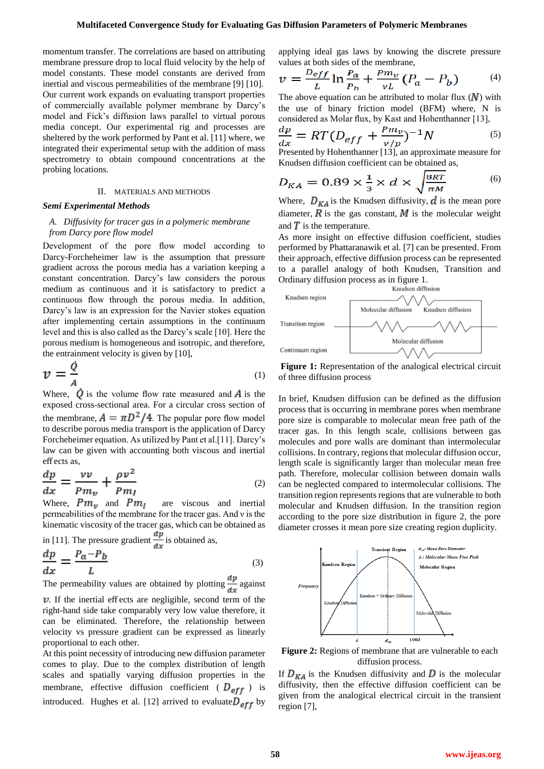momentum transfer. The correlations are based on attributing membrane pressure drop to local fluid velocity by the help of model constants. These model constants are derived from inertial and viscous permeabilities of the membrane [9] [10]. Our current work expands on evaluating transport properties of commercially available polymer membrane by Darcy's model and Fick's diffusion laws parallel to virtual porous media concept. Our experimental rig and processes are sheltered by the work performed by Pant et al. [11] where, we integrated their experimental setup with the addition of mass spectrometry to obtain compound concentrations at the probing locations.

#### II. MATERIALS AND METHODS

#### *Semi Experimental Methods*

# *A. Diffusivity for tracer gas in a polymeric membrane from Darcy pore flow model*

Development of the pore flow model according to Darcy-Forcheheimer law is the assumption that pressure gradient across the porous media has a variation keeping a constant concentration. Darcy's law considers the porous medium as continuous and it is satisfactory to predict a continuous flow through the porous media. In addition, Darcy's law is an expression for the Navier stokes equation after implementing certain assumptions in the continuum level and this is also called as the Darcy's scale [10]. Here the porous medium is homogeneous and isotropic, and therefore, the entrainment velocity is given by [10],

$$
v = \frac{\dot{Q}}{A}
$$
 (1)

Where,  $\dot{Q}$  is the volume flow rate measured and  $\dot{A}$  is the exposed cross-sectional area. For a circular cross section of the membrane,  $A = \pi D^2 / 4$ . The popular pore flow model to describe porous media transport is the application of Darcy Forcheheimer equation. As utilized by Pant et al.[11]. Darcy's law can be given with accounting both viscous and inertial eff ects as,

$$
\frac{dp}{dx} = \frac{vv}{Pm_v} + \frac{\rho v^2}{Pm_I} \tag{2}
$$

Where,  $Pm_{v}$  and  $Pm_{I}$  are viscous and inertial permeabilities of the membrane for the tracer gas. And ν is the kinematic viscosity of the tracer gas, which can be obtained as in [11]. The pressure gradient  $\frac{dp}{dx}$  is obtained as,  $\overline{dm}$  $D = D.$ 

$$
\frac{dp}{dx} = \frac{r_a - r_b}{L} \tag{3}
$$

The permeability values are obtained by plotting  $\frac{dV}{dx}$  against

 $\nu$ . If the inertial effects are negligible, second term of the right-hand side take comparably very low value therefore, it can be eliminated. Therefore, the relationship between velocity vs pressure gradient can be expressed as linearly proportional to each other.

At this point necessity of introducing new diffusion parameter comes to play. Due to the complex distribution of length scales and spatially varying diffusion properties in the membrane, effective diffusion coefficient ( $D_{eff}$ ) is introduced. Hughes et al. [12] arrived to evaluate  $D_{eff}$  by applying ideal gas laws by knowing the discrete pressure values at both sides of the membrane,

$$
v = \frac{D_{eff}}{L} \ln \frac{P_a}{P_b} + \frac{P m_v}{v L} (P_a - P_b) \tag{4}
$$

The above equation can be attributed to molar flux  $(N)$  with the use of binary friction model (BFM) where, N is considered as Molar flux, by Kast and Hohenthanner [13],

$$
\frac{dp}{dx} = RT(D_{eff} + \frac{Pm_v}{\nu/p})^{-1}N\tag{5}
$$

Presented by Hohenthanner [13], an approximate measure for Knudsen diffusion coefficient can be obtained as,

$$
D_{KA} = 0.89 \times \frac{1}{3} \times d \times \sqrt{\frac{8RT}{\pi M}}
$$
 (6)

Where,  $D_{KA}$  is the Knudsen diffusivity,  $d$  is the mean pore diameter,  $\vec{R}$  is the gas constant,  $\vec{M}$  is the molecular weight and  $\overline{T}$  is the temperature.

As more insight on effective diffusion coefficient, studies performed by Phattaranawik et al. [7] can be presented. From their approach, effective diffusion process can be represented to a parallel analogy of both Knudsen, Transition and Ordinary diffusion process as in figure 1.



**Figure 1:** Representation of the analogical electrical circuit of three diffusion process

In brief, Knudsen diffusion can be defined as the diffusion process that is occurring in membrane pores when membrane pore size is comparable to molecular mean free path of the tracer gas. In this length scale, collisions between gas molecules and pore walls are dominant than intermolecular collisions. In contrary, regions that molecular diffusion occur, length scale is significantly larger than molecular mean free path. Therefore, molecular collision between domain walls can be neglected compared to intermolecular collisions. The transition region represents regions that are vulnerable to both molecular and Knudsen diffusion. In the transition region according to the pore size distribution in figure 2, the pore diameter crosses it mean pore size creating region duplicity.



**Figure 2:** Regions of membrane that are vulnerable to each diffusion process.

If  $D_{KA}$  is the Knudsen diffusivity and D is the molecular diffusivity, then the effective diffusion coefficient can be given from the analogical electrical circuit in the transient region [7],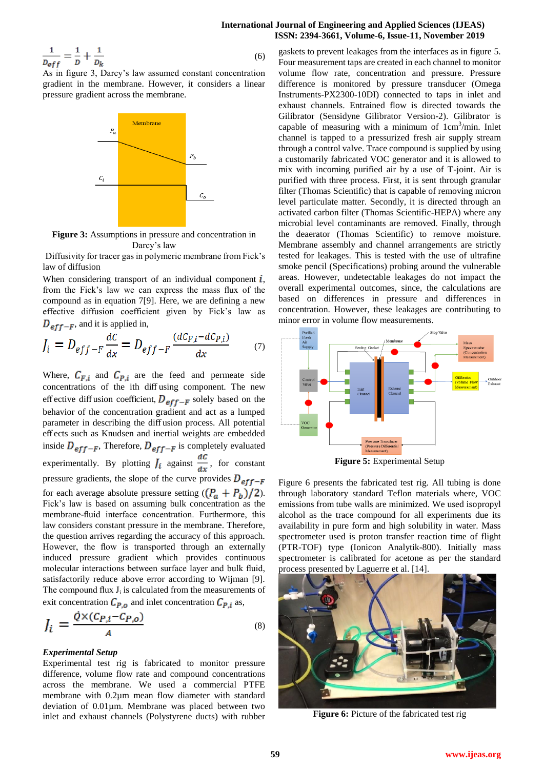# **International Journal of Engineering and Applied Sciences (IJEAS) ISSN: 2394-3661, Volume-6, Issue-11, November 2019**

$$
\frac{1}{D_{eff}} = \frac{1}{D} + \frac{1}{D_k} \tag{6}
$$

As in figure 3, Darcy's law assumed constant concentration gradient in the membrane. However, it considers a linear pressure gradient across the membrane.



**Figure 3:** Assumptions in pressure and concentration in Darcy's law

Diffusivity for tracer gas in polymeric membrane from Fick's law of diffusion

When considering transport of an individual component  $\vec{l}$ , from the Fick's law we can express the mass flux of the compound as in equation 7[9]. Here, we are defining a new effective diffusion coefficient given by Fick's law as  $D_{eff-F}$ , and it is applied in,

$$
J_i = D_{eff-F} \frac{dC}{dx} = D_{eff-F} \frac{(dC_{F,i} - dC_{P,i})}{dx} \tag{7}
$$

Where,  $C_{F,i}$  and  $C_{P,i}$  are the feed and permeate side concentrations of the ith diff using component. The new effective diffusion coefficient,  $D_{eff-F}$  solely based on the behavior of the concentration gradient and act as a lumped parameter in describing the diff usion process. All potential eff ects such as Knudsen and inertial weights are embedded inside  $D_{eff-F}$ , Therefore,  $D_{eff-F}$  is completely evaluated experimentally. By plotting  $\overrightarrow{J}_i$  against  $\frac{dC}{dx}$ , for constant pressure gradients, the slope of the curve provides  $D_{eff-F}$ for each average absolute pressure setting  $((P_a + P_b)/2)$ . Fick's law is based on assuming bulk concentration as the membrane-fluid interface concentration. Furthermore, this law considers constant pressure in the membrane. Therefore, the question arrives regarding the accuracy of this approach. However, the flow is transported through an externally induced pressure gradient which provides continuous molecular interactions between surface layer and bulk fluid, satisfactorily reduce above error according to Wijman [9]. The compound flux  $J_i$  is calculated from the measurements of exit concentration  $C_{P,o}$  and inlet concentration  $C_{P,i}$  as,

$$
J_i = \frac{\dot{Q} \times (C_{P,i} - C_{P,o})}{A} \tag{8}
$$

# *Experimental Setup*

Experimental test rig is fabricated to monitor pressure difference, volume flow rate and compound concentrations across the membrane. We used a commercial PTFE membrane with 0.2µm mean flow diameter with standard deviation of 0.01µm. Membrane was placed between two inlet and exhaust channels (Polystyrene ducts) with rubber

gaskets to prevent leakages from the interfaces as in figure 5. Four measurement taps are created in each channel to monitor volume flow rate, concentration and pressure. Pressure difference is monitored by pressure transducer (Omega Instruments-PX2300-10DI) connected to taps in inlet and exhaust channels. Entrained flow is directed towards the Gilibrator (Sensidyne Gilibrator Version-2). Gilibrator is capable of measuring with a minimum of  $1 \text{cm}^3/\text{min}$ . Inlet channel is tapped to a pressurized fresh air supply stream through a control valve. Trace compound is supplied by using a customarily fabricated VOC generator and it is allowed to mix with incoming purified air by a use of T-joint. Air is purified with three process. First, it is sent through granular filter (Thomas Scientific) that is capable of removing micron level particulate matter. Secondly, it is directed through an activated carbon filter (Thomas Scientific-HEPA) where any microbial level contaminants are removed. Finally, through the deaerator (Thomas Scientific) to remove moisture. Membrane assembly and channel arrangements are strictly tested for leakages. This is tested with the use of ultrafine smoke pencil (Specifications) probing around the vulnerable areas. However, undetectable leakages do not impact the overall experimental outcomes, since, the calculations are based on differences in pressure and differences in concentration. However, these leakages are contributing to minor error in volume flow measurements.



**Figure 5:** Experimental Setup

Figure 6 presents the fabricated test rig. All tubing is done through laboratory standard Teflon materials where, VOC emissions from tube walls are minimized. We used isopropyl alcohol as the trace compound for all experiments due its availability in pure form and high solubility in water. Mass spectrometer used is proton transfer reaction time of flight (PTR-TOF) type (Ionicon Analytik-800). Initially mass spectrometer is calibrated for acetone as per the standard process presented by Laguerre et al. [14].



**Figure 6:** Picture of the fabricated test rig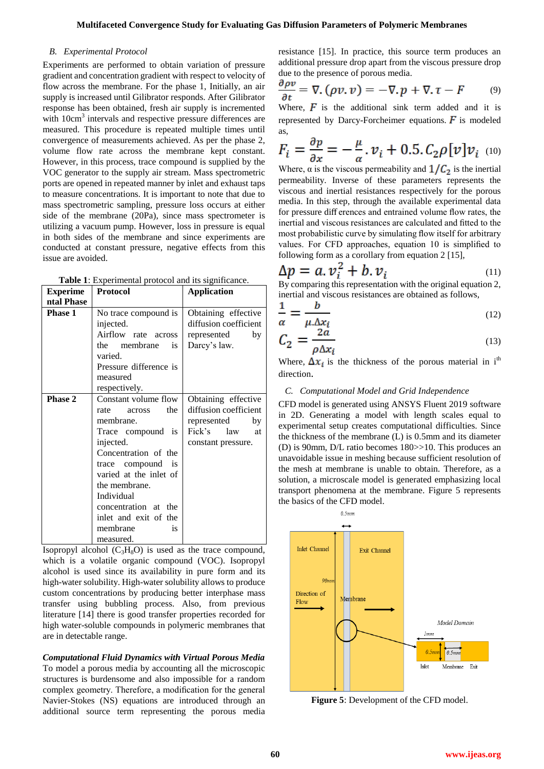# *B. Experimental Protocol*

Experiments are performed to obtain variation of pressure gradient and concentration gradient with respect to velocity of flow across the membrane. For the phase 1, Initially, an air supply is increased until Gilibrator responds. After Gilibrator response has been obtained, fresh air supply is incremented with 10cm<sup>3</sup> intervals and respective pressure differences are measured. This procedure is repeated multiple times until convergence of measurements achieved. As per the phase 2, volume flow rate across the membrane kept constant. However, in this process, trace compound is supplied by the VOC generator to the supply air stream. Mass spectrometric ports are opened in repeated manner by inlet and exhaust taps to measure concentrations. It is important to note that due to mass spectrometric sampling, pressure loss occurs at either side of the membrane (20Pa), since mass spectrometer is utilizing a vacuum pump. However, loss in pressure is equal in both sides of the membrane and since experiments are conducted at constant pressure, negative effects from this issue are avoided.

| <b>Experime</b> | Protocol                                                                                                                                                                                                                                                                              | <b>Application</b>                                                                                             |
|-----------------|---------------------------------------------------------------------------------------------------------------------------------------------------------------------------------------------------------------------------------------------------------------------------------------|----------------------------------------------------------------------------------------------------------------|
| ntal Phase      |                                                                                                                                                                                                                                                                                       |                                                                                                                |
| <b>Phase 1</b>  | No trace compound is<br>injected.<br>Airflow rate across<br>the membrane<br>is.<br>varied.<br>Pressure difference is<br>measured<br>respectively.                                                                                                                                     | Obtaining effective<br>diffusion coefficient<br>represented<br>by<br>Darcy's law.                              |
| <b>Phase 2</b>  | Constant volume flow<br>the<br>rate<br>across<br>membrane.<br>Trace compound is<br>injected.<br>Concentration of the<br>trace compound is<br>varied at the inlet of<br>the membrane.<br>Individual<br>concentration at<br>the<br>inlet and exit of the<br>membrane<br>is<br>measured. | Obtaining effective<br>diffusion coefficient<br>represented<br>by<br>Fick's<br>law<br>at<br>constant pressure. |

**Table 1**: Experimental protocol and its significance.

Isopropyl alcohol  $(C_3H_8O)$  is used as the trace compound, which is a volatile organic compound (VOC). Isopropyl alcohol is used since its availability in pure form and its high-water solubility. High-water solubility allows to produce custom concentrations by producing better interphase mass transfer using bubbling process. Also, from previous literature [14] there is good transfer properties recorded for high water-soluble compounds in polymeric membranes that are in detectable range.

*Computational Fluid Dynamics with Virtual Porous Media* To model a porous media by accounting all the microscopic structures is burdensome and also impossible for a random complex geometry. Therefore, a modification for the general Navier-Stokes (NS) equations are introduced through an additional source term representing the porous media resistance [15]. In practice, this source term produces an additional pressure drop apart from the viscous pressure drop due to the presence of porous media.

$$
\frac{\partial \rho v}{\partial t} = \nabla \cdot (\rho v, v) = -\nabla \cdot p + \nabla \cdot \tau - F \tag{9}
$$

Where,  $\vec{F}$  is the additional sink term added and it is represented by Darcy-Forcheimer equations.  $\vec{F}$  is modeled as,

$$
F_i = \frac{\partial p}{\partial x} = -\frac{\mu}{\alpha}, \nu_i + 0.5, C_2 \rho [\nu] \nu_i \quad (10)
$$

Where,  $\alpha$  is the viscous permeability and  $1/C_2$  is the inertial permeability. Inverse of these parameters represents the viscous and inertial resistances respectively for the porous media. In this step, through the available experimental data for pressure diff erences and entrained volume flow rates, the inertial and viscous resistances are calculated and fitted to the most probabilistic curve by simulating flow itself for arbitrary values. For CFD approaches, equation 10 is simplified to following form as a corollary from equation 2 [15],

$$
\Delta p = a. \nu_i^2 + b. \nu_i
$$
  
By comparing this representation with the original equation 2,

inertial and viscous resistances are obtained as follows,

$$
\frac{1}{\alpha} = \frac{b}{\mu \Delta x_i} \tag{12}
$$

$$
C_2 = \frac{2a}{\rho \Delta x_i} \tag{13}
$$

Where,  $\Delta x_i$  is the thickness of the porous material in i<sup>th</sup> direction.

#### *C. Computational Model and Grid Independence*

CFD model is generated using ANSYS Fluent 2019 software in 2D. Generating a model with length scales equal to experimental setup creates computational difficulties. Since the thickness of the membrane (L) is 0.5mm and its diameter (D) is 90mm, D/L ratio becomes 180>>10. This produces an unavoidable issue in meshing because sufficient resolution of the mesh at membrane is unable to obtain. Therefore, as a solution, a microscale model is generated emphasizing local transport phenomena at the membrane. Figure 5 represents the basics of the CFD model.



**Figure 5**: Development of the CFD model.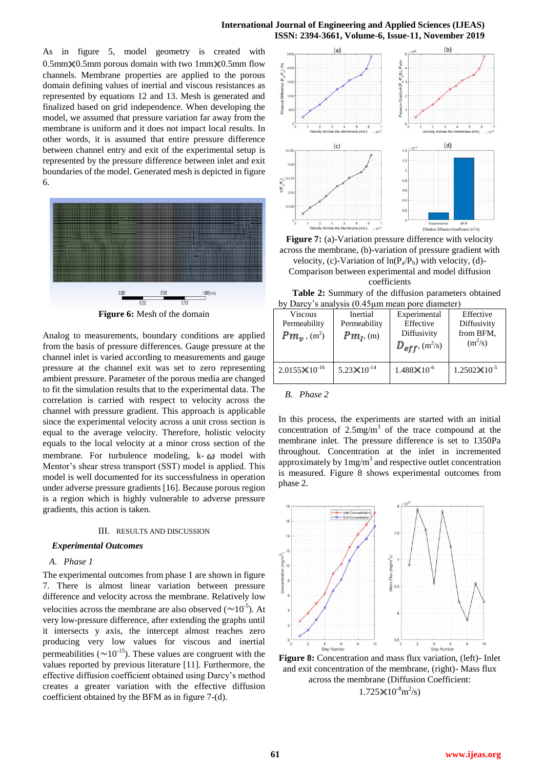As in figure 5, model geometry is created with  $0.5$ mm $\times$ 0.5mm porous domain with two 1mm $\times$ 0.5mm flow channels. Membrane properties are applied to the porous domain defining values of inertial and viscous resistances as represented by equations 12 and 13. Mesh is generated and finalized based on grid independence. When developing the model, we assumed that pressure variation far away from the membrane is uniform and it does not impact local results. In other words, it is assumed that entire pressure difference between channel entry and exit of the experimental setup is represented by the pressure difference between inlet and exit boundaries of the model. Generated mesh is depicted in figure 6.



**Figure 6:** Mesh of the domain

Analog to measurements, boundary conditions are applied from the basis of pressure differences. Gauge pressure at the channel inlet is varied according to measurements and gauge pressure at the channel exit was set to zero representing ambient pressure. Parameter of the porous media are changed to fit the simulation results that to the experimental data. The correlation is carried with respect to velocity across the channel with pressure gradient. This approach is applicable since the experimental velocity across a unit cross section is equal to the average velocity. Therefore, holistic velocity equals to the local velocity at a minor cross section of the membrane. For turbulence modeling,  $k - \omega$  model with Mentor's shear stress transport (SST) model is applied. This model is well documented for its successfulness in operation under adverse pressure gradients [16]. Because porous region is a region which is highly vulnerable to adverse pressure gradients, this action is taken.

#### III. RESULTS AND DISCUSSION

#### *Experimental Outcomes*

# *A. Phase 1*

The experimental outcomes from phase 1 are shown in figure 7. There is almost linear variation between pressure difference and velocity across the membrane. Relatively low velocities across the membrane are also observed  $(\sim 10^{-5})$ . At very low-pressure difference, after extending the graphs until it intersects y axis, the intercept almost reaches zero producing very low values for viscous and inertial permeabilities ( $\sim 10^{-15}$ ). These values are congruent with the values reported by previous literature [11]. Furthermore, the effective diffusion coefficient obtained using Darcy's method creates a greater variation with the effective diffusion coefficient obtained by the BFM as in figure 7-(d).



**Figure 7:** (a)-Variation pressure difference with velocity across the membrane, (b)-variation of pressure gradient with velocity, (c)-Variation of  $ln(P_a/P_b)$  with velocity, (d)-Comparison between experimental and model diffusion coefficients

 **Table 2:** Summary of the diffusion parameters obtained by Darcy's analysis (0.45µm mean pore diameter)

| <b>Viscous</b><br>Permeability<br>$Pm_{\nu}$ , (m <sup>2</sup> ) | Inertial<br>Permeability<br>$Pm_I$ , (m) | Experimental<br>Effective<br>Diffusivity<br>$D_{eff}$ , (m <sup>2</sup> /s) | Effective<br>Diffusivity<br>from BFM,<br>$(m^2/s)$ |
|------------------------------------------------------------------|------------------------------------------|-----------------------------------------------------------------------------|----------------------------------------------------|
| $2.0155 \times 10^{-16}$                                         | 5.23 $\times$ 10 <sup>-14</sup>          | $1.488 \times 10^{-6}$                                                      | $1.2502 \times 10^{-5}$                            |

*B. Phase 2*

In this process, the experiments are started with an initial concentration of  $2.5$ mg/m<sup>3</sup> of the trace compound at the membrane inlet. The pressure difference is set to 1350Pa throughout. Concentration at the inlet in incremented approximately by  $1mg/m<sup>3</sup>$  and respective outlet concentration is measured. Figure 8 shows experimental outcomes from phase 2.



**Figure 8:** Concentration and mass flux variation, (left)- Inlet and exit concentration of the membrane, (right)- Mass flux across the membrane (Diffusion Coefficient:  $1.725 \times 10^{-8}$ m<sup>2</sup>/s)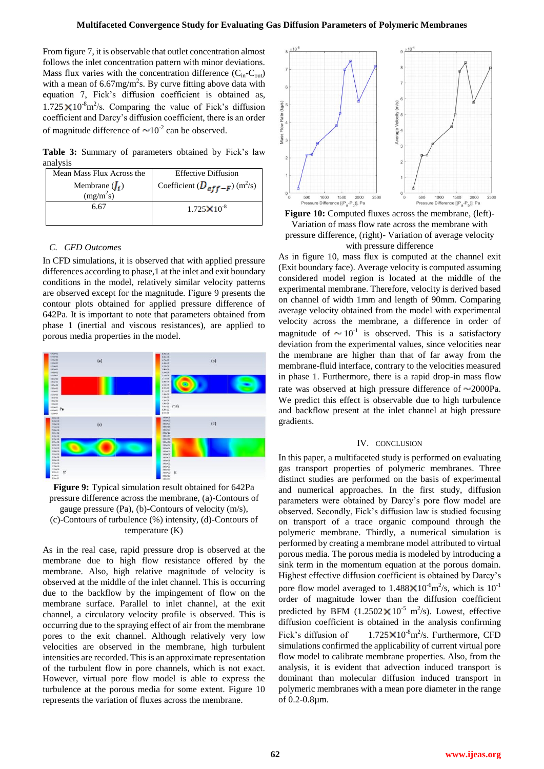From figure 7, it is observable that outlet concentration almost follows the inlet concentration pattern with minor deviations. Mass flux varies with the concentration difference  $(C_{in} - C_{out})$ with a mean of  $6.67 \text{mg/m}^2$ s. By curve fitting above data with equation 7, Fick's diffusion coefficient is obtained as,  $1.725 \times 10^{-8}$  m<sup>2</sup>/s. Comparing the value of Fick's diffusion coefficient and Darcy's diffusion coefficient, there is an order of magnitude difference of  $\sim 10^{-2}$  can be observed.

**Table 3:** Summary of parameters obtained by Fick's law analysis

| Mean Mass Flux Across the | <b>Effective Diffusion</b>                      |
|---------------------------|-------------------------------------------------|
| Membrane $(J_i)$          | Coefficient ( $D_{eff-F}$ ) (m <sup>2</sup> /s) |
| $(mg/m^2s)$               |                                                 |
| 6.67                      | $1.725 \times 10^{-8}$                          |
|                           |                                                 |

# *C. CFD Outcomes*

In CFD simulations, it is observed that with applied pressure differences according to phase,1 at the inlet and exit boundary conditions in the model, relatively similar velocity patterns are observed except for the magnitude. Figure 9 presents the contour plots obtained for applied pressure difference of 642Pa. It is important to note that parameters obtained from phase 1 (inertial and viscous resistances), are applied to porous media properties in the model.



**Figure 9:** Typical simulation result obtained for 642Pa pressure difference across the membrane, (a)-Contours of gauge pressure (Pa), (b)-Contours of velocity (m/s), (c)-Contours of turbulence (%) intensity, (d)-Contours of temperature (K)

As in the real case, rapid pressure drop is observed at the membrane due to high flow resistance offered by the membrane. Also, high relative magnitude of velocity is observed at the middle of the inlet channel. This is occurring due to the backflow by the impingement of flow on the membrane surface. Parallel to inlet channel, at the exit channel, a circulatory velocity profile is observed. This is occurring due to the spraying effect of air from the membrane pores to the exit channel. Although relatively very low velocities are observed in the membrane, high turbulent intensities are recorded. This is an approximate representation of the turbulent flow in pore channels, which is not exact. However, virtual pore flow model is able to express the turbulence at the porous media for some extent. Figure 10 represents the variation of fluxes across the membrane.





As in figure 10, mass flux is computed at the channel exit (Exit boundary face). Average velocity is computed assuming considered model region is located at the middle of the experimental membrane. Therefore, velocity is derived based on channel of width 1mm and length of 90mm. Comparing average velocity obtained from the model with experimental velocity across the membrane, a difference in order of magnitude of  $\sim 10^{-1}$  is observed. This is a satisfactory deviation from the experimental values, since velocities near the membrane are higher than that of far away from the membrane-fluid interface, contrary to the velocities measured in phase 1. Furthermore, there is a rapid drop-in mass flow rate was observed at high pressure difference of  $\sim$ 2000Pa. We predict this effect is observable due to high turbulence and backflow present at the inlet channel at high pressure gradients.

#### IV. CONCLUSION

In this paper, a multifaceted study is performed on evaluating gas transport properties of polymeric membranes. Three distinct studies are performed on the basis of experimental and numerical approaches. In the first study, diffusion parameters were obtained by Darcy's pore flow model are observed. Secondly, Fick's diffusion law is studied focusing on transport of a trace organic compound through the polymeric membrane. Thirdly, a numerical simulation is performed by creating a membrane model attributed to virtual porous media. The porous media is modeled by introducing a sink term in the momentum equation at the porous domain. Highest effective diffusion coefficient is obtained by Darcy's pore flow model averaged to  $1.488 \times 10^{-6}$  m<sup>2</sup>/s, which is  $10^{-1}$ order of magnitude lower than the diffusion coefficient predicted by BFM  $(1.2502 \times 10^{-5} \text{ m}^2/\text{s})$ . Lowest, effective diffusion coefficient is obtained in the analysis confirming Fick's diffusion of  $2/s$ . Furthermore, CFD simulations confirmed the applicability of current virtual pore flow model to calibrate membrane properties. Also, from the analysis, it is evident that advection induced transport is dominant than molecular diffusion induced transport in polymeric membranes with a mean pore diameter in the range of 0.2-0.8µm.